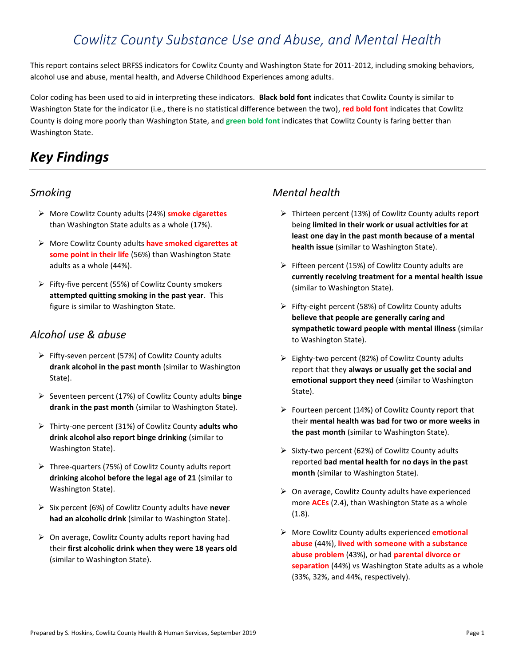# *Cowlitz County Substance Use and Abuse, and Mental Health*

This report contains select BRFSS indicators for Cowlitz County and Washington State for 2011-2012, including smoking behaviors, alcohol use and abuse, mental health, and Adverse Childhood Experiences among adults.

Color coding has been used to aid in interpreting these indicators. **Black bold font** indicates that Cowlitz County is similar to Washington State for the indicator (i.e., there is no statistical difference between the two), **red bold font** indicates that Cowlitz County is doing more poorly than Washington State, and **green bold font** indicates that Cowlitz County is faring better than Washington State.

# *Key Findings*

# *Smoking*

- ➢ More Cowlitz County adults (24%) **smoke cigarettes** than Washington State adults as a whole (17%).
- ➢ More Cowlitz County adults **have smoked cigarettes at some point in their life** (56%) than Washington State adults as a whole (44%).
- ➢ Fifty-five percent (55%) of Cowlitz County smokers **attempted quitting smoking in the past year**. This figure is similar to Washington State.

# *Alcohol use & abuse*

- ➢ Fifty-seven percent (57%) of Cowlitz County adults **drank alcohol in the past month** (similar to Washington State).
- ➢ Seventeen percent (17%) of Cowlitz County adults **binge drank in the past month** (similar to Washington State).
- ➢ Thirty-one percent (31%) of Cowlitz County **adults who drink alcohol also report binge drinking** (similar to Washington State).
- ➢ Three-quarters (75%) of Cowlitz County adults report **drinking alcohol before the legal age of 21** (similar to Washington State).
- ➢ Six percent (6%) of Cowlitz County adults have **never had an alcoholic drink** (similar to Washington State).
- ➢ On average, Cowlitz County adults report having had their **first alcoholic drink when they were 18 years old** (similar to Washington State).

# *Mental health*

- ➢ Thirteen percent (13%) of Cowlitz County adults report being **limited in their work or usual activities for at least one day in the past month because of a mental health issue** (similar to Washington State).
- $\triangleright$  Fifteen percent (15%) of Cowlitz County adults are **currently receiving treatment for a mental health issue** (similar to Washington State).
- $\triangleright$  Fifty-eight percent (58%) of Cowlitz County adults **believe that people are generally caring and sympathetic toward people with mental illness** (similar to Washington State).
- ➢ Eighty-two percent (82%) of Cowlitz County adults report that they **always or usually get the social and emotional support they need** (similar to Washington State).
- ➢ Fourteen percent (14%) of Cowlitz County report that their **mental health was bad for two or more weeks in the past month** (similar to Washington State).
- $\triangleright$  Sixty-two percent (62%) of Cowlitz County adults reported **bad mental health for no days in the past month** (similar to Washington State).
- $\triangleright$  On average, Cowlitz County adults have experienced more **ACEs** (2.4), than Washington State as a whole (1.8).
- ➢ More Cowlitz County adults experienced **emotional abuse** (44%), **lived with someone with a substance abuse problem** (43%), or had **parental divorce or separation** (44%) vs Washington State adults as a whole (33%, 32%, and 44%, respectively).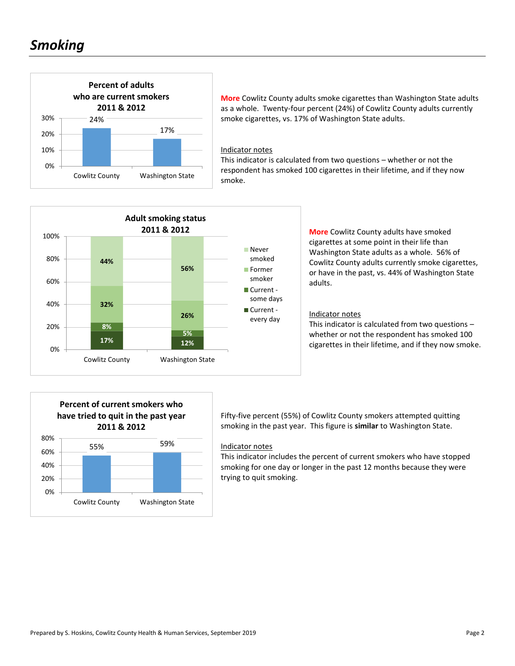# *Smoking*



**More** Cowlitz County adults smoke cigarettes than Washington State adults as a whole. Twenty-four percent (24%) of Cowlitz County adults currently smoke cigarettes, vs. 17% of Washington State adults.

#### Indicator notes

This indicator is calculated from two questions – whether or not the respondent has smoked 100 cigarettes in their lifetime, and if they now smoke.



**More** Cowlitz County adults have smoked cigarettes at some point in their life than Washington State adults as a whole. 56% of Cowlitz County adults currently smoke cigarettes, or have in the past, vs. 44% of Washington State adults.

### Indicator notes

This indicator is calculated from two questions – whether or not the respondent has smoked 100 cigarettes in their lifetime, and if they now smoke.



Fifty-five percent (55%) of Cowlitz County smokers attempted quitting smoking in the past year. This figure is **similar** to Washington State.

#### Indicator notes

This indicator includes the percent of current smokers who have stopped smoking for one day or longer in the past 12 months because they were trying to quit smoking.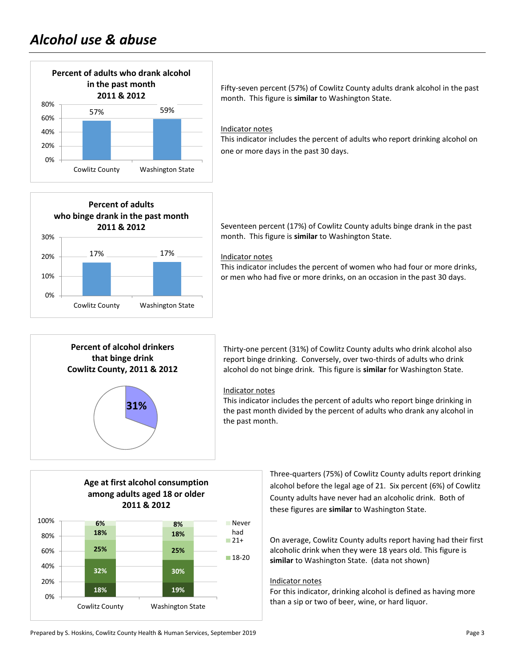

Fifty-seven percent (57%) of Cowlitz County adults drank alcohol in the past month. This figure is **similar** to Washington State.

### Indicator notes

This indicator includes the percent of adults who report drinking alcohol on one or more days in the past 30 days.



Seventeen percent (17%) of Cowlitz County adults binge drank in the past month. This figure is **similar** to Washington State.

#### Indicator notes

This indicator includes the percent of women who had four or more drinks, or men who had five or more drinks, on an occasion in the past 30 days.



Thirty-one percent (31%) of Cowlitz County adults who drink alcohol also report binge drinking. Conversely, over two-thirds of adults who drink alcohol do not binge drink. This figure is **similar** for Washington State.

#### Indicator notes

This indicator includes the percent of adults who report binge drinking in the past month divided by the percent of adults who drank any alcohol in the past month.

# **Age at first alcohol consumption among adults aged 18 or older 2011 & 2012**



Three-quarters (75%) of Cowlitz County adults report drinking alcohol before the legal age of 21. Six percent (6%) of Cowlitz County adults have never had an alcoholic drink. Both of these figures are **similar** to Washington State.

On average, Cowlitz County adults report having had their first alcoholic drink when they were 18 years old. This figure is **similar** to Washington State. (data not shown)

#### Indicator notes

For this indicator, drinking alcohol is defined as having more than a sip or two of beer, wine, or hard liquor.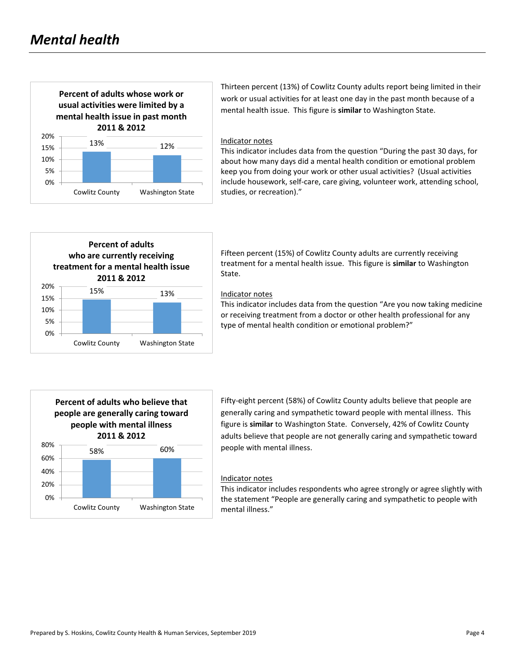

Thirteen percent (13%) of Cowlitz County adults report being limited in their work or usual activities for at least one day in the past month because of a mental health issue. This figure is **similar** to Washington State.

#### Indicator notes

This indicator includes data from the question "During the past 30 days, for about how many days did a mental health condition or emotional problem keep you from doing your work or other usual activities? (Usual activities include housework, self-care, care giving, volunteer work, attending school, studies, or recreation)."



Fifteen percent (15%) of Cowlitz County adults are currently receiving treatment for a mental health issue. This figure is **similar** to Washington State.

#### Indicator notes

This indicator includes data from the question "Are you now taking medicine or receiving treatment from a doctor or other health professional for any type of mental health condition or emotional problem?"



Fifty-eight percent (58%) of Cowlitz County adults believe that people are generally caring and sympathetic toward people with mental illness. This figure is **similar** to Washington State. Conversely, 42% of Cowlitz County adults believe that people are not generally caring and sympathetic toward people with mental illness.

#### Indicator notes

This indicator includes respondents who agree strongly or agree slightly with the statement "People are generally caring and sympathetic to people with mental illness."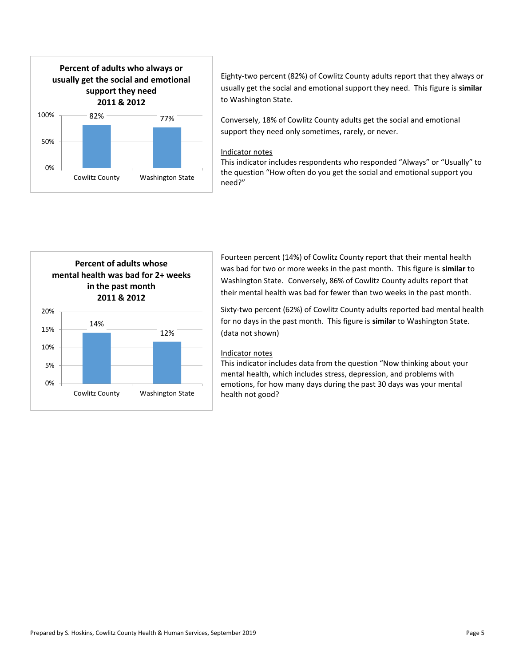

Eighty-two percent (82%) of Cowlitz County adults report that they always or usually get the social and emotional support they need. This figure is **similar** to Washington State.

Conversely, 18% of Cowlitz County adults get the social and emotional support they need only sometimes, rarely, or never.

## Indicator notes

This indicator includes respondents who responded "Always" or "Usually" to the question "How often do you get the social and emotional support you need?"



Fourteen percent (14%) of Cowlitz County report that their mental health was bad for two or more weeks in the past month. This figure is **similar** to Washington State. Conversely, 86% of Cowlitz County adults report that their mental health was bad for fewer than two weeks in the past month.

Sixty-two percent (62%) of Cowlitz County adults reported bad mental health for no days in the past month. This figure is **similar** to Washington State. (data not shown)

#### Indicator notes

This indicator includes data from the question "Now thinking about your mental health, which includes stress, depression, and problems with emotions, for how many days during the past 30 days was your mental health not good?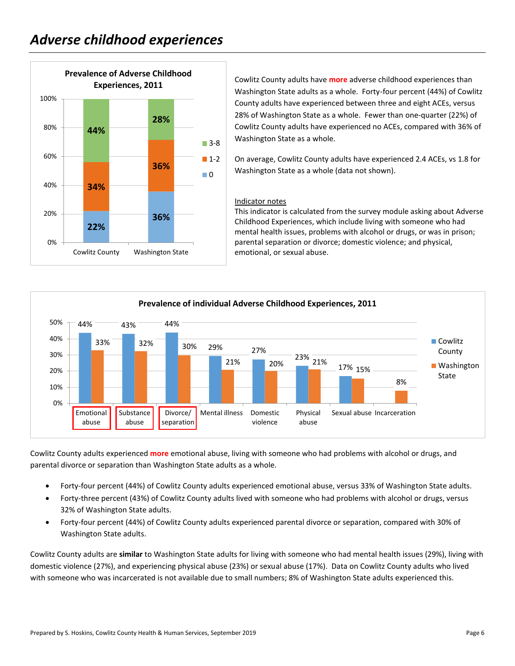

Cowlitz County adults have **more** adverse childhood experiences than Washington State adults as a whole. Forty-four percent (44%) of Cowlitz County adults have experienced between three and eight ACEs, versus 28% of Washington State as a whole. Fewer than one-quarter (22%) of Cowlitz County adults have experienced no ACEs, compared with 36% of Washington State as a whole.

On average, Cowlitz County adults have experienced 2.4 ACEs, vs 1.8 for Washington State as a whole (data not shown).

## Indicator notes

This indicator is calculated from the survey module asking about Adverse Childhood Experiences, which include living with someone who had mental health issues, problems with alcohol or drugs, or was in prison; parental separation or divorce; domestic violence; and physical, emotional, or sexual abuse.



Cowlitz County adults experienced **more** emotional abuse, living with someone who had problems with alcohol or drugs, and parental divorce or separation than Washington State adults as a whole.

- Forty-four percent (44%) of Cowlitz County adults experienced emotional abuse, versus 33% of Washington State adults.
- Forty-three percent (43%) of Cowlitz County adults lived with someone who had problems with alcohol or drugs, versus 32% of Washington State adults.
- Forty-four percent (44%) of Cowlitz County adults experienced parental divorce or separation, compared with 30% of Washington State adults.

Cowlitz County adults are **similar** to Washington State adults for living with someone who had mental health issues (29%), living with domestic violence (27%), and experiencing physical abuse (23%) or sexual abuse (17%). Data on Cowlitz County adults who lived with someone who was incarcerated is not available due to small numbers; 8% of Washington State adults experienced this.